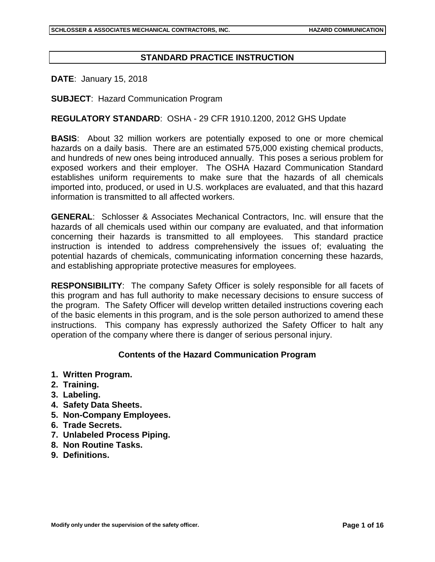# **STANDARD PRACTICE INSTRUCTION**

**DATE**: January 15, 2018

**SUBJECT**: Hazard Communication Program

### **REGULATORY STANDARD**: OSHA - 29 CFR 1910.1200, 2012 GHS Update

**BASIS**: About 32 million workers are potentially exposed to one or more chemical hazards on a daily basis. There are an estimated 575,000 existing chemical products, and hundreds of new ones being introduced annually. This poses a serious problem for exposed workers and their employer. The OSHA Hazard Communication Standard establishes uniform requirements to make sure that the hazards of all chemicals imported into, produced, or used in U.S. workplaces are evaluated, and that this hazard information is transmitted to all affected workers.

**GENERAL**: Schlosser & Associates Mechanical Contractors, Inc. will ensure that the hazards of all chemicals used within our company are evaluated, and that information concerning their hazards is transmitted to all employees. This standard practice instruction is intended to address comprehensively the issues of; evaluating the potential hazards of chemicals, communicating information concerning these hazards, and establishing appropriate protective measures for employees.

**RESPONSIBILITY**: The company Safety Officer is solely responsible for all facets of this program and has full authority to make necessary decisions to ensure success of the program. The Safety Officer will develop written detailed instructions covering each of the basic elements in this program, and is the sole person authorized to amend these instructions. This company has expressly authorized the Safety Officer to halt any operation of the company where there is danger of serious personal injury.

### **Contents of the Hazard Communication Program**

- **1. Written Program.**
- **2. Training.**
- **3. Labeling.**
- **4. Safety Data Sheets.**
- **5. Non-Company Employees.**
- **6. Trade Secrets.**
- **7. Unlabeled Process Piping.**
- **8. Non Routine Tasks.**
- **9. Definitions.**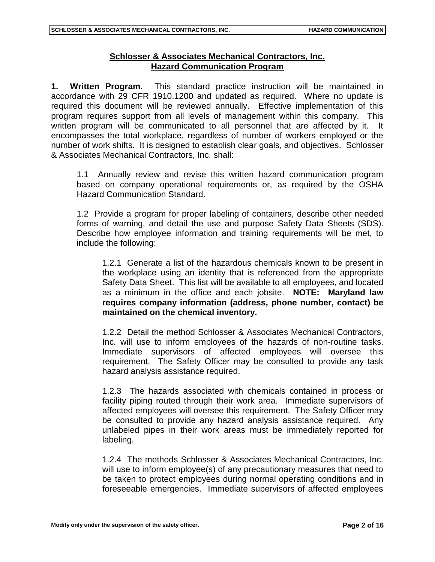# **Schlosser & Associates Mechanical Contractors, Inc. Hazard Communication Program**

**1. Written Program.** This standard practice instruction will be maintained in accordance with 29 CFR 1910.1200 and updated as required. Where no update is required this document will be reviewed annually. Effective implementation of this program requires support from all levels of management within this company. This written program will be communicated to all personnel that are affected by it. It encompasses the total workplace, regardless of number of workers employed or the number of work shifts. It is designed to establish clear goals, and objectives. Schlosser & Associates Mechanical Contractors, Inc. shall:

1.1 Annually review and revise this written hazard communication program based on company operational requirements or, as required by the OSHA Hazard Communication Standard.

1.2 Provide a program for proper labeling of containers, describe other needed forms of warning, and detail the use and purpose Safety Data Sheets (SDS). Describe how employee information and training requirements will be met, to include the following:

1.2.1 Generate a list of the hazardous chemicals known to be present in the workplace using an identity that is referenced from the appropriate Safety Data Sheet. This list will be available to all employees, and located as a minimum in the office and each jobsite. **NOTE: Maryland law requires company information (address, phone number, contact) be maintained on the chemical inventory.**

1.2.2 Detail the method Schlosser & Associates Mechanical Contractors, Inc. will use to inform employees of the hazards of non-routine tasks. Immediate supervisors of affected employees will oversee this requirement. The Safety Officer may be consulted to provide any task hazard analysis assistance required.

1.2.3 The hazards associated with chemicals contained in process or facility piping routed through their work area. Immediate supervisors of affected employees will oversee this requirement. The Safety Officer may be consulted to provide any hazard analysis assistance required. Any unlabeled pipes in their work areas must be immediately reported for labeling.

1.2.4 The methods Schlosser & Associates Mechanical Contractors, Inc. will use to inform employee(s) of any precautionary measures that need to be taken to protect employees during normal operating conditions and in foreseeable emergencies. Immediate supervisors of affected employees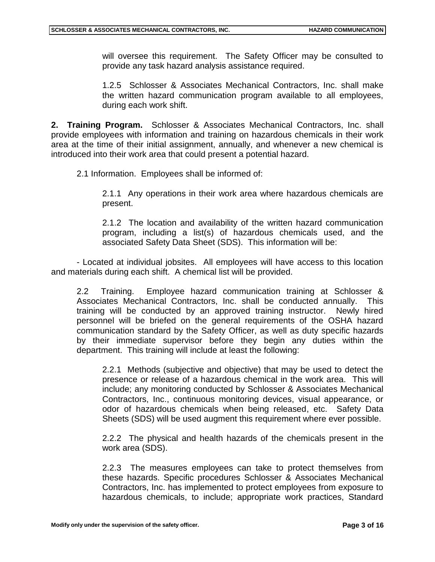will oversee this requirement. The Safety Officer may be consulted to provide any task hazard analysis assistance required.

1.2.5 Schlosser & Associates Mechanical Contractors, Inc. shall make the written hazard communication program available to all employees, during each work shift.

**2. Training Program.** Schlosser & Associates Mechanical Contractors, Inc. shall provide employees with information and training on hazardous chemicals in their work area at the time of their initial assignment, annually, and whenever a new chemical is introduced into their work area that could present a potential hazard.

2.1 Information. Employees shall be informed of:

2.1.1 Any operations in their work area where hazardous chemicals are present.

2.1.2 The location and availability of the written hazard communication program, including a list(s) of hazardous chemicals used, and the associated Safety Data Sheet (SDS). This information will be:

- Located at individual jobsites. All employees will have access to this location and materials during each shift. A chemical list will be provided.

2.2 Training. Employee hazard communication training at Schlosser & Associates Mechanical Contractors, Inc. shall be conducted annually. This training will be conducted by an approved training instructor. Newly hired personnel will be briefed on the general requirements of the OSHA hazard communication standard by the Safety Officer, as well as duty specific hazards by their immediate supervisor before they begin any duties within the department. This training will include at least the following:

2.2.1 Methods (subjective and objective) that may be used to detect the presence or release of a hazardous chemical in the work area. This will include; any monitoring conducted by Schlosser & Associates Mechanical Contractors, Inc., continuous monitoring devices, visual appearance, or odor of hazardous chemicals when being released, etc. Safety Data Sheets (SDS) will be used augment this requirement where ever possible.

2.2.2 The physical and health hazards of the chemicals present in the work area (SDS).

2.2.3 The measures employees can take to protect themselves from these hazards. Specific procedures Schlosser & Associates Mechanical Contractors, Inc. has implemented to protect employees from exposure to hazardous chemicals, to include; appropriate work practices, Standard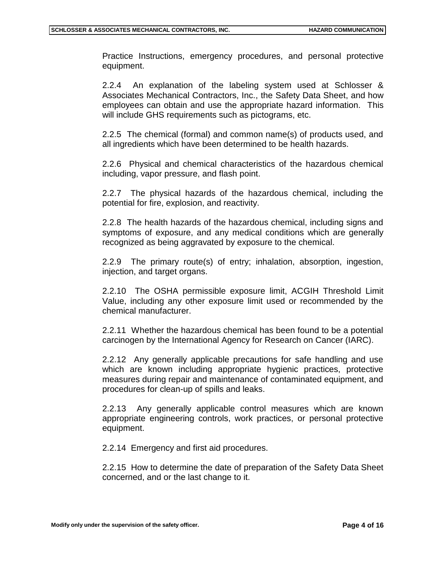Practice Instructions, emergency procedures, and personal protective equipment.

2.2.4 An explanation of the labeling system used at Schlosser & Associates Mechanical Contractors, Inc., the Safety Data Sheet, and how employees can obtain and use the appropriate hazard information. This will include GHS requirements such as pictograms, etc.

2.2.5 The chemical (formal) and common name(s) of products used, and all ingredients which have been determined to be health hazards.

2.2.6 Physical and chemical characteristics of the hazardous chemical including, vapor pressure, and flash point.

2.2.7 The physical hazards of the hazardous chemical, including the potential for fire, explosion, and reactivity.

2.2.8 The health hazards of the hazardous chemical, including signs and symptoms of exposure, and any medical conditions which are generally recognized as being aggravated by exposure to the chemical.

2.2.9 The primary route(s) of entry; inhalation, absorption, ingestion, injection, and target organs.

2.2.10 The OSHA permissible exposure limit, ACGIH Threshold Limit Value, including any other exposure limit used or recommended by the chemical manufacturer.

2.2.11 Whether the hazardous chemical has been found to be a potential carcinogen by the International Agency for Research on Cancer (IARC).

2.2.12 Any generally applicable precautions for safe handling and use which are known including appropriate hygienic practices, protective measures during repair and maintenance of contaminated equipment, and procedures for clean-up of spills and leaks.

2.2.13 Any generally applicable control measures which are known appropriate engineering controls, work practices, or personal protective equipment.

2.2.14 Emergency and first aid procedures.

2.2.15 How to determine the date of preparation of the Safety Data Sheet concerned, and or the last change to it.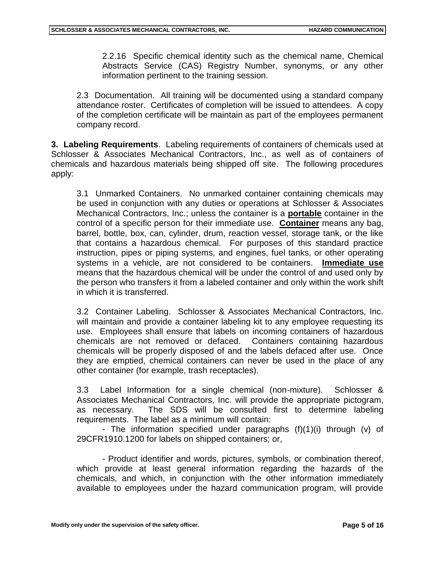2.2.16 Specific chemical identity such as the chemical name, Chemical Abstracts Service (CAS) Registry Number, synonyms, or any other information pertinent to the training session.

2.3 Documentation. All training will be documented using a standard company attendance roster. Certificates of completion will be issued to attendees. A copy of the completion certificate will be maintain as part of the employees permanent company record.

**3. Labeling Requirements**. Labeling requirements of containers of chemicals used at Schlosser & Associates Mechanical Contractors, Inc., as well as of containers of chemicals and hazardous materials being shipped off site. The following procedures apply:

3.1 Unmarked Containers. No unmarked container containing chemicals may be used in conjunction with any duties or operations at Schlosser & Associates Mechanical Contractors, Inc.; unless the container is a **portable** container in the control of a specific person for their immediate use. **Container** means any bag, barrel, bottle, box, can, cylinder, drum, reaction vessel, storage tank, or the like that contains a hazardous chemical. For purposes of this standard practice instruction, pipes or piping systems, and engines, fuel tanks, or other operating systems in a vehicle, are not considered to be containers. **Immediate use** means that the hazardous chemical will be under the control of and used only by the person who transfers it from a labeled container and only within the work shift in which it is transferred.

3.2 Container Labeling. Schlosser & Associates Mechanical Contractors, Inc. will maintain and provide a container labeling kit to any employee requesting its use. Employees shall ensure that labels on incoming containers of hazardous chemicals are not removed or defaced. Containers containing hazardous chemicals will be properly disposed of and the labels defaced after use. Once they are emptied, chemical containers can never be used in the place of any other container (for example, trash receptacles).

3.3 Label Information for a single chemical (non-mixture). Schlosser & Associates Mechanical Contractors, Inc. will provide the appropriate pictogram, as necessary. The SDS will be consulted first to determine labeling requirements. The label as a minimum will contain:

- The information specified under paragraphs (f)(1)(i) through (v) of 29CFR1910.1200 for labels on shipped containers; or,

- Product identifier and words, pictures, symbols, or combination thereof, which provide at least general information regarding the hazards of the chemicals, and which, in conjunction with the other information immediately available to employees under the hazard communication program, will provide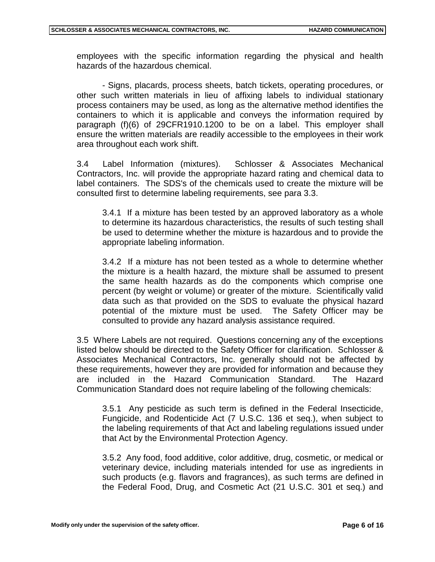employees with the specific information regarding the physical and health hazards of the hazardous chemical.

- Signs, placards, process sheets, batch tickets, operating procedures, or other such written materials in lieu of affixing labels to individual stationary process containers may be used, as long as the alternative method identifies the containers to which it is applicable and conveys the information required by paragraph (f)(6) of 29CFR1910.1200 to be on a label. This employer shall ensure the written materials are readily accessible to the employees in their work area throughout each work shift.

3.4 Label Information (mixtures). Schlosser & Associates Mechanical Contractors, Inc. will provide the appropriate hazard rating and chemical data to label containers. The SDS's of the chemicals used to create the mixture will be consulted first to determine labeling requirements, see para 3.3.

3.4.1 If a mixture has been tested by an approved laboratory as a whole to determine its hazardous characteristics, the results of such testing shall be used to determine whether the mixture is hazardous and to provide the appropriate labeling information.

3.4.2 If a mixture has not been tested as a whole to determine whether the mixture is a health hazard, the mixture shall be assumed to present the same health hazards as do the components which comprise one percent (by weight or volume) or greater of the mixture. Scientifically valid data such as that provided on the SDS to evaluate the physical hazard potential of the mixture must be used. The Safety Officer may be consulted to provide any hazard analysis assistance required.

3.5 Where Labels are not required. Questions concerning any of the exceptions listed below should be directed to the Safety Officer for clarification. Schlosser & Associates Mechanical Contractors, Inc. generally should not be affected by these requirements, however they are provided for information and because they are included in the Hazard Communication Standard. The Hazard Communication Standard does not require labeling of the following chemicals:

3.5.1 Any pesticide as such term is defined in the Federal Insecticide, Fungicide, and Rodenticide Act (7 U.S.C. 136 et seq.), when subject to the labeling requirements of that Act and labeling regulations issued under that Act by the Environmental Protection Agency.

3.5.2 Any food, food additive, color additive, drug, cosmetic, or medical or veterinary device, including materials intended for use as ingredients in such products (e.g. flavors and fragrances), as such terms are defined in the Federal Food, Drug, and Cosmetic Act (21 U.S.C. 301 et seq.) and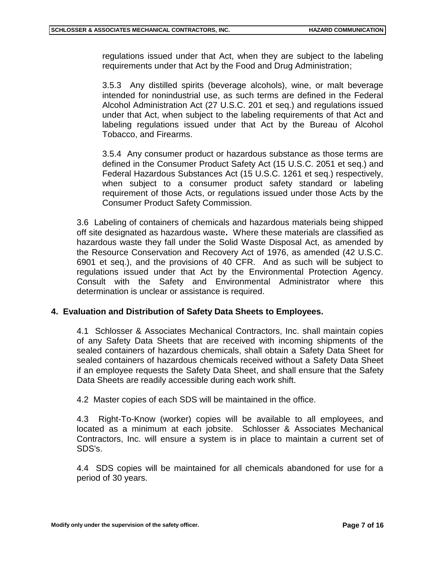regulations issued under that Act, when they are subject to the labeling requirements under that Act by the Food and Drug Administration;

3.5.3 Any distilled spirits (beverage alcohols), wine, or malt beverage intended for nonindustrial use, as such terms are defined in the Federal Alcohol Administration Act (27 U.S.C. 201 et seq.) and regulations issued under that Act, when subject to the labeling requirements of that Act and labeling regulations issued under that Act by the Bureau of Alcohol Tobacco, and Firearms.

3.5.4 Any consumer product or hazardous substance as those terms are defined in the Consumer Product Safety Act (15 U.S.C. 2051 et seq.) and Federal Hazardous Substances Act (15 U.S.C. 1261 et seq.) respectively, when subject to a consumer product safety standard or labeling requirement of those Acts, or regulations issued under those Acts by the Consumer Product Safety Commission.

3.6 Labeling of containers of chemicals and hazardous materials being shipped off site designated as hazardous waste**.** Where these materials are classified as hazardous waste they fall under the Solid Waste Disposal Act, as amended by the Resource Conservation and Recovery Act of 1976, as amended (42 U.S.C. 6901 et seq.), and the provisions of 40 CFR. And as such will be subject to regulations issued under that Act by the Environmental Protection Agency. Consult with the Safety and Environmental Administrator where this determination is unclear or assistance is required.

### **4. Evaluation and Distribution of Safety Data Sheets to Employees.**

4.1 Schlosser & Associates Mechanical Contractors, Inc. shall maintain copies of any Safety Data Sheets that are received with incoming shipments of the sealed containers of hazardous chemicals, shall obtain a Safety Data Sheet for sealed containers of hazardous chemicals received without a Safety Data Sheet if an employee requests the Safety Data Sheet, and shall ensure that the Safety Data Sheets are readily accessible during each work shift.

4.2 Master copies of each SDS will be maintained in the office.

4.3 Right-To-Know (worker) copies will be available to all employees, and located as a minimum at each jobsite. Schlosser & Associates Mechanical Contractors, Inc. will ensure a system is in place to maintain a current set of SDS's.

4.4 SDS copies will be maintained for all chemicals abandoned for use for a period of 30 years.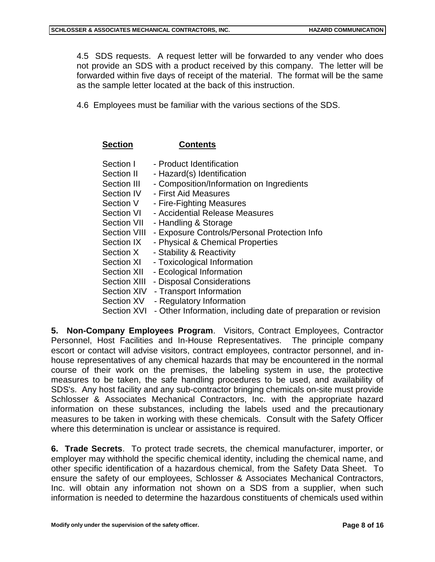4.5 SDS requests. A request letter will be forwarded to any vender who does not provide an SDS with a product received by this company. The letter will be forwarded within five days of receipt of the material. The format will be the same as the sample letter located at the back of this instruction.

4.6 Employees must be familiar with the various sections of the SDS.

| <b>Section</b> | <b>Contents</b> |
|----------------|-----------------|
|                |                 |

| Section I           | - Product Identification                                       |
|---------------------|----------------------------------------------------------------|
| Section II          | - Hazard(s) Identification                                     |
| Section III         | - Composition/Information on Ingredients                       |
| Section IV          | - First Aid Measures                                           |
| Section V           | - Fire-Fighting Measures                                       |
| Section VI          | - Accidential Release Measures                                 |
| Section VII         | - Handling & Storage                                           |
| Section VIII        | - Exposure Controls/Personal Protection Info                   |
| Section IX          | - Physical & Chemical Properties                               |
| Section X           | - Stability & Reactivity                                       |
| <b>Section XI</b>   | - Toxicological Information                                    |
| Section XII         | - Ecological Information                                       |
| <b>Section XIII</b> | - Disposal Considerations                                      |
| <b>Section XIV</b>  | - Transport Information                                        |
| <b>Section XV</b>   | - Regulatory Information                                       |
| Section XVI         | - Other Information, including date of preparation or revision |

**5. Non-Company Employees Program**. Visitors, Contract Employees, Contractor Personnel, Host Facilities and In-House Representatives. The principle company escort or contact will advise visitors, contract employees, contractor personnel, and inhouse representatives of any chemical hazards that may be encountered in the normal course of their work on the premises, the labeling system in use, the protective measures to be taken, the safe handling procedures to be used, and availability of SDS's. Any host facility and any sub-contractor bringing chemicals on-site must provide Schlosser & Associates Mechanical Contractors, Inc. with the appropriate hazard information on these substances, including the labels used and the precautionary measures to be taken in working with these chemicals. Consult with the Safety Officer where this determination is unclear or assistance is required.

**6. Trade Secrets**. To protect trade secrets, the chemical manufacturer, importer, or employer may withhold the specific chemical identity, including the chemical name, and other specific identification of a hazardous chemical, from the Safety Data Sheet. To ensure the safety of our employees, Schlosser & Associates Mechanical Contractors, Inc. will obtain any information not shown on a SDS from a supplier, when such information is needed to determine the hazardous constituents of chemicals used within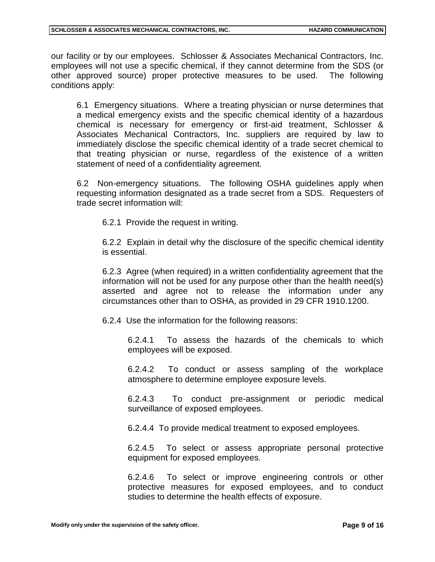our facility or by our employees. Schlosser & Associates Mechanical Contractors, Inc. employees will not use a specific chemical, if they cannot determine from the SDS (or other approved source) proper protective measures to be used. The following conditions apply:

6.1 Emergency situations. Where a treating physician or nurse determines that a medical emergency exists and the specific chemical identity of a hazardous chemical is necessary for emergency or first-aid treatment, Schlosser & Associates Mechanical Contractors, Inc. suppliers are required by law to immediately disclose the specific chemical identity of a trade secret chemical to that treating physician or nurse, regardless of the existence of a written statement of need of a confidentiality agreement.

6.2 Non-emergency situations. The following OSHA guidelines apply when requesting information designated as a trade secret from a SDS. Requesters of trade secret information will:

6.2.1 Provide the request in writing.

6.2.2 Explain in detail why the disclosure of the specific chemical identity is essential.

6.2.3 Agree (when required) in a written confidentiality agreement that the information will not be used for any purpose other than the health need(s) asserted and agree not to release the information under any circumstances other than to OSHA, as provided in 29 CFR 1910.1200.

6.2.4 Use the information for the following reasons:

6.2.4.1 To assess the hazards of the chemicals to which employees will be exposed.

6.2.4.2 To conduct or assess sampling of the workplace atmosphere to determine employee exposure levels.

6.2.4.3 To conduct pre-assignment or periodic medical surveillance of exposed employees.

6.2.4.4 To provide medical treatment to exposed employees.

6.2.4.5 To select or assess appropriate personal protective equipment for exposed employees.

6.2.4.6 To select or improve engineering controls or other protective measures for exposed employees, and to conduct studies to determine the health effects of exposure.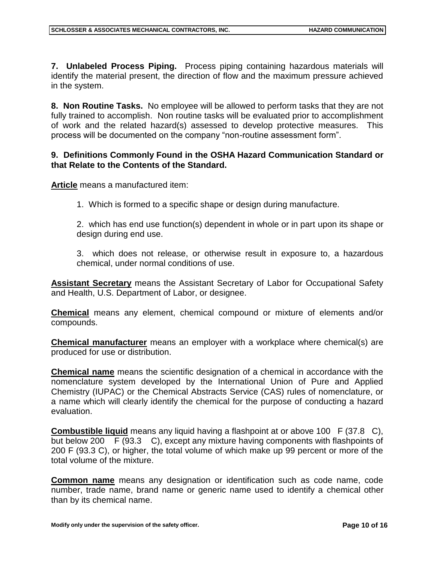**7. Unlabeled Process Piping.** Process piping containing hazardous materials will identify the material present, the direction of flow and the maximum pressure achieved in the system.

**8. Non Routine Tasks.** No employee will be allowed to perform tasks that they are not fully trained to accomplish. Non routine tasks will be evaluated prior to accomplishment of work and the related hazard(s) assessed to develop protective measures. This process will be documented on the company "non-routine assessment form".

### **9. Definitions Commonly Found in the OSHA Hazard Communication Standard or that Relate to the Contents of the Standard.**

**Article** means a manufactured item:

1. Which is formed to a specific shape or design during manufacture.

2. which has end use function(s) dependent in whole or in part upon its shape or design during end use.

3. which does not release, or otherwise result in exposure to, a hazardous chemical, under normal conditions of use.

**Assistant Secretary** means the Assistant Secretary of Labor for Occupational Safety and Health, U.S. Department of Labor, or designee.

**Chemical** means any element, chemical compound or mixture of elements and/or compounds.

**Chemical manufacturer** means an employer with a workplace where chemical(s) are produced for use or distribution.

**Chemical name** means the scientific designation of a chemical in accordance with the nomenclature system developed by the International Union of Pure and Applied Chemistry (IUPAC) or the Chemical Abstracts Service (CAS) rules of nomenclature, or a name which will clearly identify the chemical for the purpose of conducting a hazard evaluation.

**Combustible liquid** means any liquid having a flashpoint at or above 100 F (37.8 C), but below 200 F (93.3 C), except any mixture having components with flashpoints of 200 F (93.3 C), or higher, the total volume of which make up 99 percent or more of the total volume of the mixture.

**Common name** means any designation or identification such as code name, code number, trade name, brand name or generic name used to identify a chemical other than by its chemical name.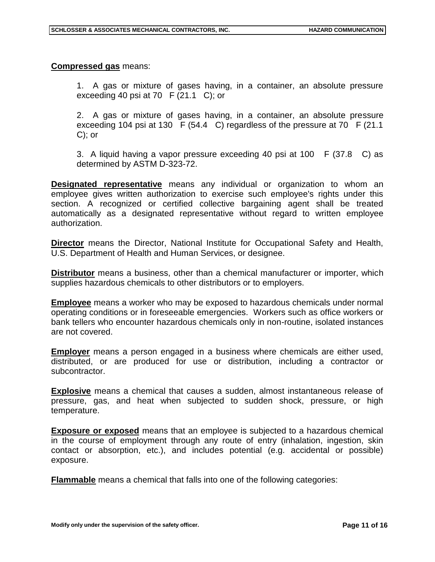#### **Compressed gas** means:

1. A gas or mixture of gases having, in a container, an absolute pressure exceeding 40 psi at 70  $\,$  F (21.1  $\,$  C); or

2. A gas or mixture of gases having, in a container, an absolute pressure exceeding 104 psi at 130 F (54.4 C) regardless of the pressure at 70 F (21.1 C); or

3. A liquid having a vapor pressure exceeding 40 psi at 100 F (37.8 C) as determined by ASTM D-323-72.

**Designated representative** means any individual or organization to whom an employee gives written authorization to exercise such employee's rights under this section. A recognized or certified collective bargaining agent shall be treated automatically as a designated representative without regard to written employee authorization.

**Director** means the Director, National Institute for Occupational Safety and Health, U.S. Department of Health and Human Services, or designee.

**Distributor** means a business, other than a chemical manufacturer or importer, which supplies hazardous chemicals to other distributors or to employers.

**Employee** means a worker who may be exposed to hazardous chemicals under normal operating conditions or in foreseeable emergencies. Workers such as office workers or bank tellers who encounter hazardous chemicals only in non-routine, isolated instances are not covered.

**Employer** means a person engaged in a business where chemicals are either used, distributed, or are produced for use or distribution, including a contractor or subcontractor.

**Explosive** means a chemical that causes a sudden, almost instantaneous release of pressure, gas, and heat when subjected to sudden shock, pressure, or high temperature.

**Exposure or exposed** means that an employee is subjected to a hazardous chemical in the course of employment through any route of entry (inhalation, ingestion, skin contact or absorption, etc.), and includes potential (e.g. accidental or possible) exposure.

**Flammable** means a chemical that falls into one of the following categories: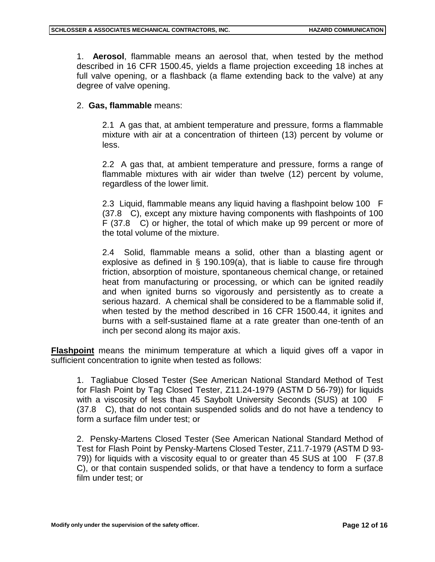1. **Aerosol**, flammable means an aerosol that, when tested by the method described in 16 CFR 1500.45, yields a flame projection exceeding 18 inches at full valve opening, or a flashback (a flame extending back to the valve) at any degree of valve opening.

#### 2. **Gas, flammable** means:

2.1 A gas that, at ambient temperature and pressure, forms a flammable mixture with air at a concentration of thirteen (13) percent by volume or less.

2.2 A gas that, at ambient temperature and pressure, forms a range of flammable mixtures with air wider than twelve (12) percent by volume, regardless of the lower limit.

2.3 Liquid, flammable means any liquid having a flashpoint below 100 F (37.8 C), except any mixture having components with flashpoints of 100 F (37.8 C) or higher, the total of which make up 99 percent or more of the total volume of the mixture.

2.4 Solid, flammable means a solid, other than a blasting agent or explosive as defined in § 190.109(a), that is liable to cause fire through friction, absorption of moisture, spontaneous chemical change, or retained heat from manufacturing or processing, or which can be ignited readily and when ignited burns so vigorously and persistently as to create a serious hazard. A chemical shall be considered to be a flammable solid if, when tested by the method described in 16 CFR 1500.44, it ignites and burns with a self-sustained flame at a rate greater than one-tenth of an inch per second along its major axis.

**Flashpoint** means the minimum temperature at which a liquid gives off a vapor in sufficient concentration to ignite when tested as follows:

1. Tagliabue Closed Tester (See American National Standard Method of Test for Flash Point by Tag Closed Tester, Z11.24-1979 (ASTM D 56-79)) for liquids with a viscosity of less than 45 Saybolt University Seconds (SUS) at 100 (37.8 C), that do not contain suspended solids and do not have a tendency to form a surface film under test; or

2. Pensky-Martens Closed Tester (See American National Standard Method of Test for Flash Point by Pensky-Martens Closed Tester, Z11.7-1979 (ASTM D 93- 79)) for liquids with a viscosity equal to or greater than 45 SUS at 100 F (37.8 C), or that contain suspended solids, or that have a tendency to form a surface film under test; or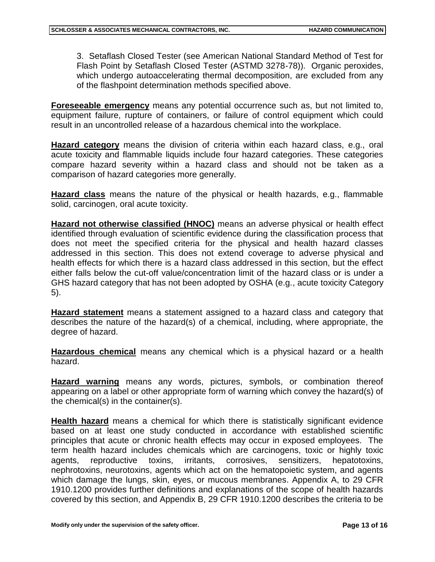3. Setaflash Closed Tester (see American National Standard Method of Test for Flash Point by Setaflash Closed Tester (ASTMD 3278-78)). Organic peroxides, which undergo autoaccelerating thermal decomposition, are excluded from any of the flashpoint determination methods specified above.

**Foreseeable emergency** means any potential occurrence such as, but not limited to, equipment failure, rupture of containers, or failure of control equipment which could result in an uncontrolled release of a hazardous chemical into the workplace.

**Hazard category** means the division of criteria within each hazard class, e.g., oral acute toxicity and flammable liquids include four hazard categories. These categories compare hazard severity within a hazard class and should not be taken as a comparison of hazard categories more generally.

**Hazard class** means the nature of the physical or health hazards, e.g., flammable solid, carcinogen, oral acute toxicity.

**Hazard not otherwise classified (HNOC)** means an adverse physical or health effect identified through evaluation of scientific evidence during the classification process that does not meet the specified criteria for the physical and health hazard classes addressed in this section. This does not extend coverage to adverse physical and health effects for which there is a hazard class addressed in this section, but the effect either falls below the cut-off value/concentration limit of the hazard class or is under a GHS hazard category that has not been adopted by OSHA (e.g., acute toxicity Category 5).

**Hazard statement** means a statement assigned to a hazard class and category that describes the nature of the hazard(s) of a chemical, including, where appropriate, the degree of hazard.

**Hazardous chemical** means any chemical which is a physical hazard or a health hazard.

**Hazard warning** means any words, pictures, symbols, or combination thereof appearing on a label or other appropriate form of warning which convey the hazard(s) of the chemical(s) in the container(s).

**Health hazard** means a chemical for which there is statistically significant evidence based on at least one study conducted in accordance with established scientific principles that acute or chronic health effects may occur in exposed employees. The term health hazard includes chemicals which are carcinogens, toxic or highly toxic agents, reproductive toxins, irritants, corrosives, sensitizers, hepatotoxins, nephrotoxins, neurotoxins, agents which act on the hematopoietic system, and agents which damage the lungs, skin, eyes, or mucous membranes. Appendix A, to 29 CFR 1910.1200 provides further definitions and explanations of the scope of health hazards covered by this section, and Appendix B, 29 CFR 1910.1200 describes the criteria to be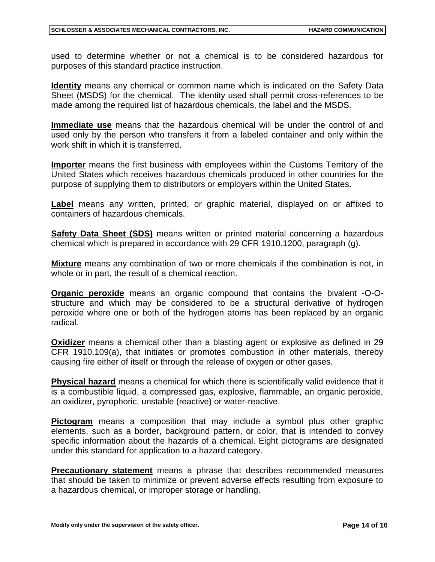used to determine whether or not a chemical is to be considered hazardous for purposes of this standard practice instruction.

**Identity** means any chemical or common name which is indicated on the Safety Data Sheet (MSDS) for the chemical. The identity used shall permit cross-references to be made among the required list of hazardous chemicals, the label and the MSDS.

**Immediate use** means that the hazardous chemical will be under the control of and used only by the person who transfers it from a labeled container and only within the work shift in which it is transferred.

**Importer** means the first business with employees within the Customs Territory of the United States which receives hazardous chemicals produced in other countries for the purpose of supplying them to distributors or employers within the United States.

**Label** means any written, printed, or graphic material, displayed on or affixed to containers of hazardous chemicals.

**Safety Data Sheet (SDS)** means written or printed material concerning a hazardous chemical which is prepared in accordance with 29 CFR 1910.1200, paragraph (g).

**Mixture** means any combination of two or more chemicals if the combination is not, in whole or in part, the result of a chemical reaction.

**Organic peroxide** means an organic compound that contains the bivalent -O-Ostructure and which may be considered to be a structural derivative of hydrogen peroxide where one or both of the hydrogen atoms has been replaced by an organic radical.

**Oxidizer** means a chemical other than a blasting agent or explosive as defined in 29 CFR 1910.109(a), that initiates or promotes combustion in other materials, thereby causing fire either of itself or through the release of oxygen or other gases.

**Physical hazard** means a chemical for which there is scientifically valid evidence that it is a combustible liquid, a compressed gas, explosive, flammable, an organic peroxide, an oxidizer, pyrophoric, unstable (reactive) or water-reactive.

**Pictogram** means a composition that may include a symbol plus other graphic elements, such as a border, background pattern, or color, that is intended to convey specific information about the hazards of a chemical. Eight pictograms are designated under this standard for application to a hazard category.

**Precautionary statement** means a phrase that describes recommended measures that should be taken to minimize or prevent adverse effects resulting from exposure to a hazardous chemical, or improper storage or handling.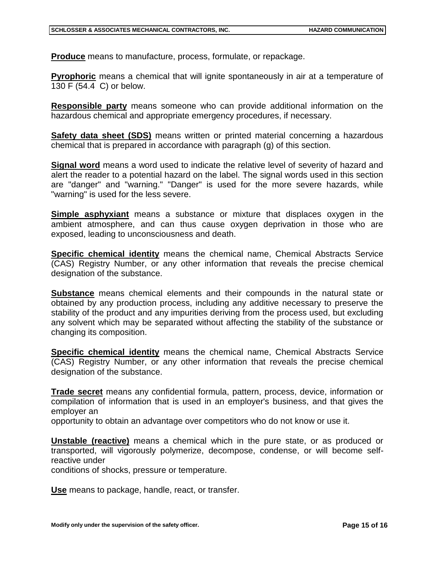**Produce** means to manufacture, process, formulate, or repackage.

**Pyrophoric** means a chemical that will ignite spontaneously in air at a temperature of 130 F (54.4 C) or below.

**Responsible party** means someone who can provide additional information on the hazardous chemical and appropriate emergency procedures, if necessary.

**Safety data sheet (SDS)** means written or printed material concerning a hazardous chemical that is prepared in accordance with paragraph (g) of this section.

**Signal word** means a word used to indicate the relative level of severity of hazard and alert the reader to a potential hazard on the label. The signal words used in this section are "danger" and "warning." "Danger" is used for the more severe hazards, while "warning" is used for the less severe.

**Simple asphyxiant** means a substance or mixture that displaces oxygen in the ambient atmosphere, and can thus cause oxygen deprivation in those who are exposed, leading to unconsciousness and death.

**Specific chemical identity** means the chemical name, Chemical Abstracts Service (CAS) Registry Number, or any other information that reveals the precise chemical designation of the substance.

**Substance** means chemical elements and their compounds in the natural state or obtained by any production process, including any additive necessary to preserve the stability of the product and any impurities deriving from the process used, but excluding any solvent which may be separated without affecting the stability of the substance or changing its composition.

**Specific chemical identity** means the chemical name, Chemical Abstracts Service (CAS) Registry Number, or any other information that reveals the precise chemical designation of the substance.

**Trade secret** means any confidential formula, pattern, process, device, information or compilation of information that is used in an employer's business, and that gives the employer an

opportunity to obtain an advantage over competitors who do not know or use it.

**Unstable (reactive)** means a chemical which in the pure state, or as produced or transported, will vigorously polymerize, decompose, condense, or will become selfreactive under

conditions of shocks, pressure or temperature.

**Use** means to package, handle, react, or transfer.